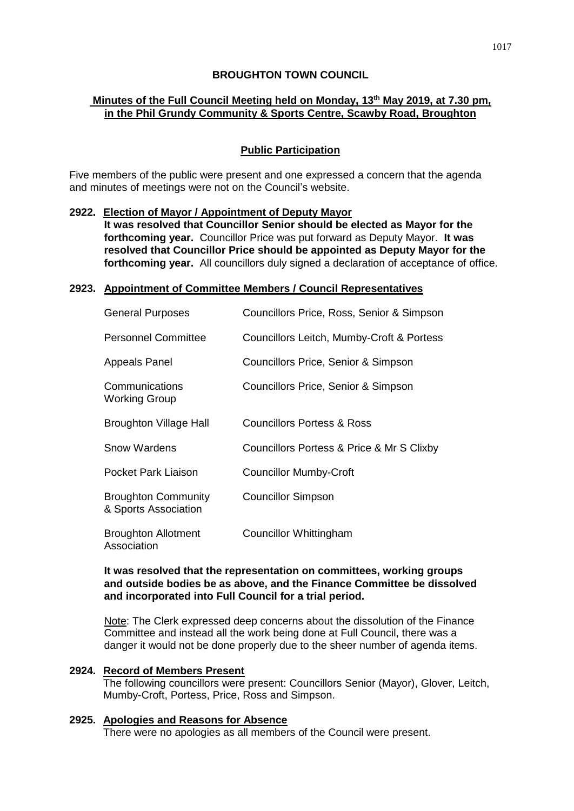### **BROUGHTON TOWN COUNCIL**

# **Minutes of the Full Council Meeting held on Monday, 13th May 2019, at 7.30 pm, in the Phil Grundy Community & Sports Centre, Scawby Road, Broughton**

### **Public Participation**

Five members of the public were present and one expressed a concern that the agenda and minutes of meetings were not on the Council's website.

### **2922. Election of Mayor / Appointment of Deputy Mayor**

**It was resolved that Councillor Senior should be elected as Mayor for the forthcoming year.** Councillor Price was put forward as Deputy Mayor. **It was resolved that Councillor Price should be appointed as Deputy Mayor for the forthcoming year.** All councillors duly signed a declaration of acceptance of office.

### **2923. Appointment of Committee Members / Council Representatives**

| <b>General Purposes</b>                            | Councillors Price, Ross, Senior & Simpson |
|----------------------------------------------------|-------------------------------------------|
| <b>Personnel Committee</b>                         | Councillors Leitch, Mumby-Croft & Portess |
| Appeals Panel                                      | Councillors Price, Senior & Simpson       |
| Communications<br><b>Working Group</b>             | Councillors Price, Senior & Simpson       |
| <b>Broughton Village Hall</b>                      | Councillors Portess & Ross                |
| <b>Snow Wardens</b>                                | Councillors Portess & Price & Mr S Clixby |
| Pocket Park Liaison                                | <b>Councillor Mumby-Croft</b>             |
| <b>Broughton Community</b><br>& Sports Association | <b>Councillor Simpson</b>                 |
| <b>Broughton Allotment</b><br>Association          | Councillor Whittingham                    |

### **It was resolved that the representation on committees, working groups and outside bodies be as above, and the Finance Committee be dissolved and incorporated into Full Council for a trial period.**

Note: The Clerk expressed deep concerns about the dissolution of the Finance Committee and instead all the work being done at Full Council, there was a danger it would not be done properly due to the sheer number of agenda items.

### **2924. Record of Members Present**

The following councillors were present: Councillors Senior (Mayor), Glover, Leitch, Mumby-Croft, Portess, Price, Ross and Simpson.

#### **2925. Apologies and Reasons for Absence**

There were no apologies as all members of the Council were present.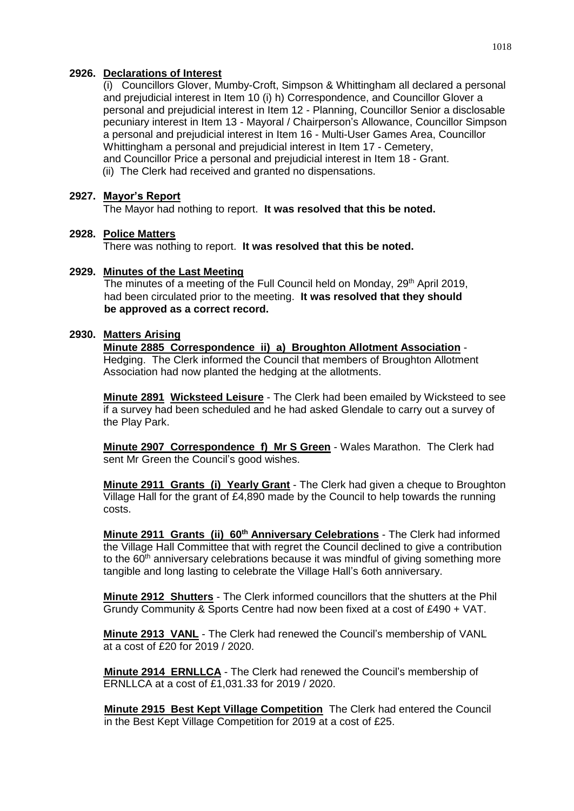### **2926. Declarations of Interest**

 and prejudicial interest in Item 10 (i) h) Correspondence, and Councillor Glover a (i) Councillors Glover, Mumby-Croft, Simpson & Whittingham all declared a personal personal and prejudicial interest in Item 12 - Planning, Councillor Senior a disclosable pecuniary interest in Item 13 - Mayoral / Chairperson's Allowance, Councillor Simpson a personal and prejudicial interest in Item 16 - Multi-User Games Area, Councillor Whittingham a personal and prejudicial interest in Item 17 - Cemetery, and Councillor Price a personal and prejudicial interest in Item 18 - Grant.

(ii) The Clerk had received and granted no dispensations.

### **2927. Mayor's Report**

The Mayor had nothing to report. **It was resolved that this be noted.**

### **2928. Police Matters**

There was nothing to report. **It was resolved that this be noted.**

### **2929. Minutes of the Last Meeting**

The minutes of a meeting of the Full Council held on Monday, 29<sup>th</sup> April 2019, had been circulated prior to the meeting. **It was resolved that they should be approved as a correct record.**

### **2930. Matters Arising**

**Minute 2885 Correspondence ii) a) Broughton Allotment Association** - Hedging. The Clerk informed the Council that members of Broughton Allotment Association had now planted the hedging at the allotments.

**Minute 2891 Wicksteed Leisure** - The Clerk had been emailed by Wicksteed to see if a survey had been scheduled and he had asked Glendale to carry out a survey of the Play Park.

**Minute 2907 Correspondence f) Mr S Green** - Wales Marathon. The Clerk had sent Mr Green the Council's good wishes.

**Minute 2911 Grants (i) Yearly Grant** - The Clerk had given a cheque to Broughton Village Hall for the grant of £4,890 made by the Council to help towards the running costs.

**Minute 2911 Grants (ii) 60th Anniversary Celebrations** - The Clerk had informed the Village Hall Committee that with regret the Council declined to give a contribution to the 60<sup>th</sup> anniversary celebrations because it was mindful of giving something more tangible and long lasting to celebrate the Village Hall's 6oth anniversary.

**Minute 2912 Shutters** - The Clerk informed councillors that the shutters at the Phil Grundy Community & Sports Centre had now been fixed at a cost of £490 + VAT.

**Minute 2913 VANL** - The Clerk had renewed the Council's membership of VANL at a cost of £20 for 2019 / 2020.

**Minute 2914 ERNLLCA** - The Clerk had renewed the Council's membership of ERNLLCA at a cost of £1,031.33 for 2019 / 2020.

**Minute 2915 Best Kept Village Competition** The Clerk had entered the Council in the Best Kept Village Competition for 2019 at a cost of £25.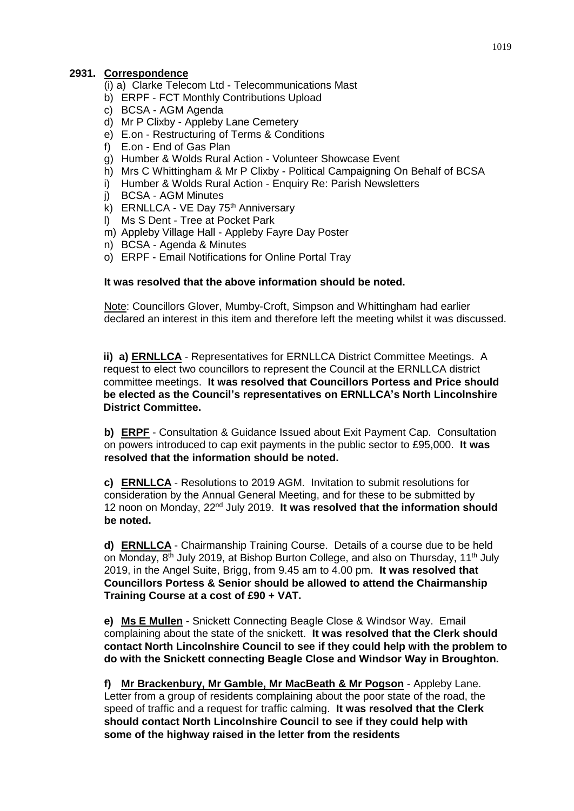### **2931. Correspondence**

- (i) a) Clarke Telecom Ltd Telecommunications Mast
- b) ERPF FCT Monthly Contributions Upload
- c) BCSA AGM Agenda
- d) Mr P Clixby Appleby Lane Cemetery
- e) E.on Restructuring of Terms & Conditions
- f) E.on End of Gas Plan
- g) Humber & Wolds Rural Action Volunteer Showcase Event
- h) Mrs C Whittingham & Mr P Clixby Political Campaigning On Behalf of BCSA
- i) Humber & Wolds Rural Action Enquiry Re: Parish Newsletters
- j) BCSA AGM Minutes
- k) ERNLLCA VE Day 75<sup>th</sup> Anniversary
- l) Ms S Dent Tree at Pocket Park
- m) Appleby Village Hall Appleby Fayre Day Poster
- n) BCSA Agenda & Minutes
- o) ERPF Email Notifications for Online Portal Tray

### **It was resolved that the above information should be noted.**

Note: Councillors Glover, Mumby-Croft, Simpson and Whittingham had earlier declared an interest in this item and therefore left the meeting whilst it was discussed.

**ii) a) ERNLLCA** - Representatives for ERNLLCA District Committee Meetings. A request to elect two councillors to represent the Council at the ERNLLCA district committee meetings. **It was resolved that Councillors Portess and Price should be elected as the Council's representatives on ERNLLCA's North Lincolnshire District Committee.**

**b) ERPF** - Consultation & Guidance Issued about Exit Payment Cap. Consultation on powers introduced to cap exit payments in the public sector to £95,000. **It was resolved that the information should be noted.**

**c) ERNLLCA** - Resolutions to 2019 AGM. Invitation to submit resolutions for consideration by the Annual General Meeting, and for these to be submitted by 12 noon on Monday, 22nd July 2019. **It was resolved that the information should be noted.**

**d) ERNLLCA** - Chairmanship Training Course. Details of a course due to be held on Monday, 8<sup>th</sup> July 2019, at Bishop Burton College, and also on Thursday, 11<sup>th</sup> July 2019, in the Angel Suite, Brigg, from 9.45 am to 4.00 pm. **It was resolved that Councillors Portess & Senior should be allowed to attend the Chairmanship Training Course at a cost of £90 + VAT.**

**e) Ms E Mullen** - Snickett Connecting Beagle Close & Windsor Way. Email complaining about the state of the snickett. **It was resolved that the Clerk should contact North Lincolnshire Council to see if they could help with the problem to do with the Snickett connecting Beagle Close and Windsor Way in Broughton.**

**f) Mr Brackenbury, Mr Gamble, Mr MacBeath & Mr Pogson** - Appleby Lane. Letter from a group of residents complaining about the poor state of the road, the speed of traffic and a request for traffic calming. **It was resolved that the Clerk should contact North Lincolnshire Council to see if they could help with some of the highway raised in the letter from the residents**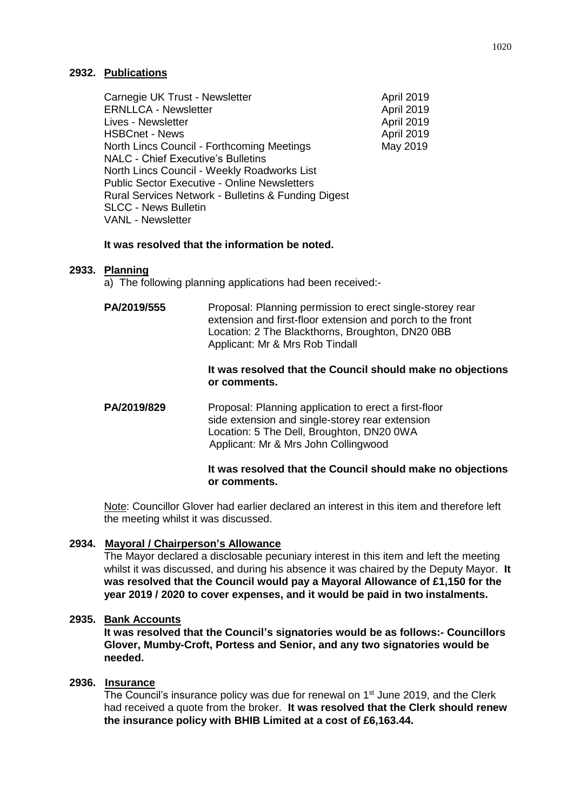### **2932. Publications**

| Carnegie UK Trust - Newsletter                      | April 2019 |
|-----------------------------------------------------|------------|
| <b>ERNLLCA - Newsletter</b>                         | April 2019 |
| Lives - Newsletter                                  | April 2019 |
| <b>HSBCnet - News</b>                               | April 2019 |
| North Lincs Council - Forthcoming Meetings          | May 2019   |
| <b>NALC - Chief Executive's Bulletins</b>           |            |
| North Lincs Council - Weekly Roadworks List         |            |
| <b>Public Sector Executive - Online Newsletters</b> |            |
| Rural Services Network - Bulletins & Funding Digest |            |
| <b>SLCC - News Bulletin</b>                         |            |
| <b>VANL - Newsletter</b>                            |            |
|                                                     |            |

### **It was resolved that the information be noted.**

### **2933. Planning**

a) The following planning applications had been received:-

**PA/2019/555** Proposal: Planning permission to erect single-storey rear extension and first-floor extension and porch to the front Location: 2 The Blackthorns, Broughton, DN20 0BB Applicant: Mr & Mrs Rob Tindall

#### **It was resolved that the Council should make no objections or comments.**

**PA/2019/829** Proposal: Planning application to erect a first-floor side extension and single-storey rear extension Location: 5 The Dell, Broughton, DN20 0WA Applicant: Mr & Mrs John Collingwood

### **It was resolved that the Council should make no objections or comments.**

Note: Councillor Glover had earlier declared an interest in this item and therefore left the meeting whilst it was discussed.

### **2934. Mayoral / Chairperson's Allowance**

The Mayor declared a disclosable pecuniary interest in this item and left the meeting whilst it was discussed, and during his absence it was chaired by the Deputy Mayor. **It was resolved that the Council would pay a Mayoral Allowance of £1,150 for the year 2019 / 2020 to cover expenses, and it would be paid in two instalments.**

#### **2935. Bank Accounts**

**It was resolved that the Council's signatories would be as follows:- Councillors Glover, Mumby-Croft, Portess and Senior, and any two signatories would be needed.**

### **2936. Insurance**

The Council's insurance policy was due for renewal on 1<sup>st</sup> June 2019, and the Clerk had received a quote from the broker. **It was resolved that the Clerk should renew the insurance policy with BHIB Limited at a cost of £6,163.44.**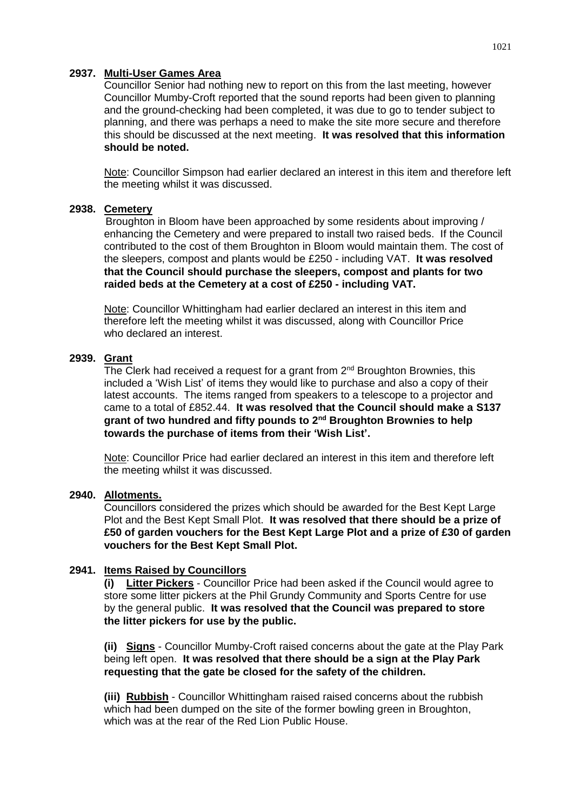### **2937. Multi-User Games Area**

 Councillor Mumby-Croft reported that the sound reports had been given to planning Councillor Senior had nothing new to report on this from the last meeting, however and the ground-checking had been completed, it was due to go to tender subject to planning, and there was perhaps a need to make the site more secure and therefore this should be discussed at the next meeting. **It was resolved that this information should be noted.**

Note: Councillor Simpson had earlier declared an interest in this item and therefore left the meeting whilst it was discussed.

### **2938. Cemetery**

Broughton in Bloom have been approached by some residents about improving / enhancing the Cemetery and were prepared to install two raised beds. If the Council contributed to the cost of them Broughton in Bloom would maintain them. The cost of the sleepers, compost and plants would be £250 - including VAT. **It was resolved that the Council should purchase the sleepers, compost and plants for two raided beds at the Cemetery at a cost of £250 - including VAT.**

Note: Councillor Whittingham had earlier declared an interest in this item and therefore left the meeting whilst it was discussed, along with Councillor Price who declared an interest.

### **2939. Grant**

The Clerk had received a request for a grant from  $2<sup>nd</sup>$  Broughton Brownies, this included a 'Wish List' of items they would like to purchase and also a copy of their latest accounts. The items ranged from speakers to a telescope to a projector and came to a total of £852.44. **It was resolved that the Council should make a S137 grant of two hundred and fifty pounds to 2nd Broughton Brownies to help towards the purchase of items from their 'Wish List'.**

Note: Councillor Price had earlier declared an interest in this item and therefore left the meeting whilst it was discussed.

#### **2940. Allotments.**

Councillors considered the prizes which should be awarded for the Best Kept Large Plot and the Best Kept Small Plot. **It was resolved that there should be a prize of £50 of garden vouchers for the Best Kept Large Plot and a prize of £30 of garden vouchers for the Best Kept Small Plot.**

### **2941. Items Raised by Councillors**

**(i) Litter Pickers** - Councillor Price had been asked if the Council would agree to store some litter pickers at the Phil Grundy Community and Sports Centre for use by the general public. **It was resolved that the Council was prepared to store the litter pickers for use by the public.**

**(ii) Signs** - Councillor Mumby-Croft raised concerns about the gate at the Play Park being left open. **It was resolved that there should be a sign at the Play Park requesting that the gate be closed for the safety of the children.**

**(iii) Rubbish** - Councillor Whittingham raised raised concerns about the rubbish which had been dumped on the site of the former bowling green in Broughton, which was at the rear of the Red Lion Public House.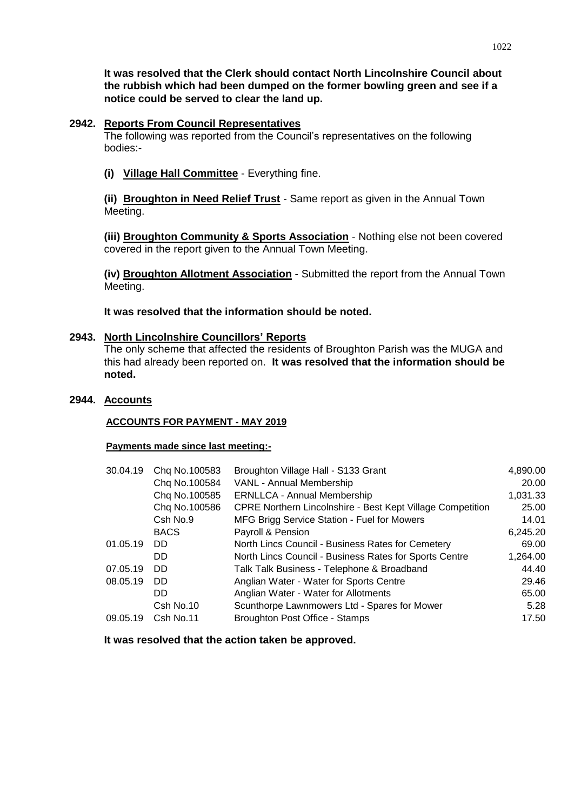**notice could be served to clear the land up. It was resolved that the Clerk should contact North Lincolnshire Council about the rubbish which had been dumped on the former bowling green and see if a** 

#### **2942. Reports From Council Representatives**

The following was reported from the Council's representatives on the following bodies:-

**(i) Village Hall Committee** - Everything fine.

**(ii) Broughton in Need Relief Trust** - Same report as given in the Annual Town Meeting.

**(iii) Broughton Community & Sports Association** - Nothing else not been covered covered in the report given to the Annual Town Meeting.

**(iv) Broughton Allotment Association** - Submitted the report from the Annual Town Meeting.

**It was resolved that the information should be noted.**

### **2943. North Lincolnshire Councillors' Reports**

The only scheme that affected the residents of Broughton Parish was the MUGA and this had already been reported on. **It was resolved that the information should be noted.**

#### **2944. Accounts**

#### **ACCOUNTS FOR PAYMENT - MAY 2019**

#### **Payments made since last meeting:-**

| 30.04.19 | Chq No.100583 | Broughton Village Hall - S133 Grant                        | 4,890.00 |
|----------|---------------|------------------------------------------------------------|----------|
|          | Chq No.100584 | VANL - Annual Membership                                   | 20.00    |
|          | Chq No.100585 | <b>ERNLLCA - Annual Membership</b>                         | 1,031.33 |
|          | Chq No.100586 | CPRE Northern Lincolnshire - Best Kept Village Competition | 25.00    |
|          | Csh No.9      | MFG Brigg Service Station - Fuel for Mowers                | 14.01    |
|          | <b>BACS</b>   | Payroll & Pension                                          | 6,245.20 |
| 01.05.19 | DD.           | North Lincs Council - Business Rates for Cemetery          | 69.00    |
|          | DD.           | North Lincs Council - Business Rates for Sports Centre     | 1,264.00 |
| 07.05.19 | DD.           | Talk Talk Business - Telephone & Broadband                 | 44.40    |
| 08.05.19 | DD.           | Anglian Water - Water for Sports Centre                    | 29.46    |
|          | DD.           | Anglian Water - Water for Allotments                       | 65.00    |
|          | Csh No.10     | Scunthorpe Lawnmowers Ltd - Spares for Mower               | 5.28     |
| 09.05.19 | Csh No.11     | Broughton Post Office - Stamps                             | 17.50    |

**It was resolved that the action taken be approved.**